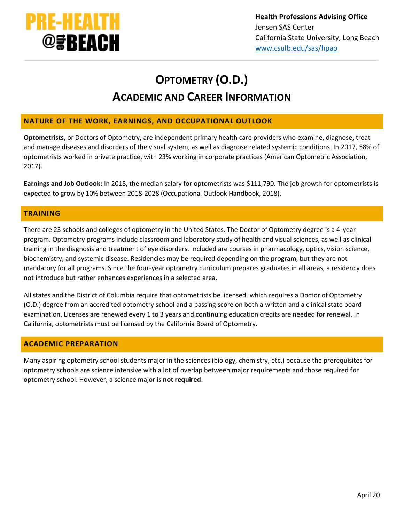

# **OPTOMETRY (O.D.) ACADEMIC AND CAREER INFORMATION**

## **NATURE OF THE WORK, EARNINGS, AND OCCUPATIONAL OUTLOOK**

**Optometrists**, or Doctors of Optometry, are independent primary health care providers who examine, diagnose, treat and manage diseases and disorders of the visual system, as well as diagnose related systemic conditions. In 2017, 58% of optometrists worked in private practice, with 23% working in corporate practices (American Optometric Association, 2017).

**Earnings and Job Outlook:** In 2018, the median salary for optometrists was \$111,790. The job growth for optometrists is expected to grow by 10% between 2018-2028 (Occupational Outlook Handbook, 2018).

## **TRAINING**

There are 23 schools and colleges of optometry in the United States. The Doctor of Optometry degree is a 4‐year program. Optometry programs include classroom and laboratory study of health and visual sciences, as well as clinical training in the diagnosis and treatment of eye disorders. Included are courses in pharmacology, optics, vision science, biochemistry, and systemic disease. Residencies may be required depending on the program, but they are not mandatory for all programs. Since the four‐year optometry curriculum prepares graduates in all areas, a residency does not introduce but rather enhances experiences in a selected area.

All states and the District of Columbia require that optometrists be licensed, which requires a Doctor of Optometry (O.D.) degree from an accredited optometry school and a passing score on both a written and a clinical state board examination. Licenses are renewed every 1 to 3 years and continuing education credits are needed for renewal. In California, optometrists must be licensed by the California Board of Optometry.

## **ACADEMIC PREPARATION**

Many aspiring optometry school students major in the sciences (biology, chemistry, etc.) because the prerequisites for optometry schools are science intensive with a lot of overlap between major requirements and those required for optometry school. However, a science major is **not required**.